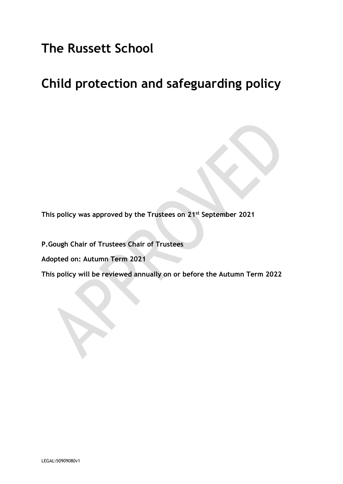# **The Russett School**

# **Child protection and safeguarding policy**

**This policy was approved by the Trustees on 21st September 2021**

**P.Gough Chair of Trustees Chair of Trustees**

**Adopted on: Autumn Term 2021**

**This policy will be reviewed annually on or before the Autumn Term 2022**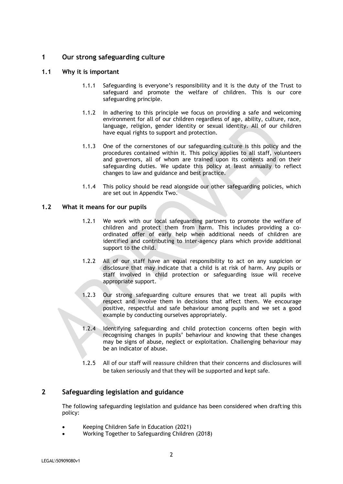## **1 Our strong safeguarding culture**

## **1.1 Why it is important**

- 1.1.1 Safeguarding is everyone's responsibility and it is the duty of the Trust to safeguard and promote the welfare of children. This is our core safeguarding principle.
- 1.1.2 In adhering to this principle we focus on providing a safe and welcoming environment for all of our children regardless of age, ability, culture, race, language, religion, gender identity or sexual identity. All of our children have equal rights to support and protection.
- 1.1.3 One of the cornerstones of our safeguarding culture is this policy and the procedures contained within it. This policy applies to all staff, volunteers and governors, all of whom are trained upon its contents and on their safeguarding duties. We update this policy at least annually to reflect changes to law and guidance and best practice.
- 1.1.4 This policy should be read alongside our other safeguarding policies, which are set out in Appendix Two.

## **1.2 What it means for our pupils**

- 1.2.1 We work with our local safeguarding partners to promote the welfare of children and protect them from harm. This includes providing a coordinated offer of early help when additional needs of children are identified and contributing to inter-agency plans which provide additional support to the child.
- 1.2.2 All of our staff have an equal responsibility to act on any suspicion or disclosure that may indicate that a child is at risk of harm. Any pupils or staff involved in child protection or safeguarding issue will receive appropriate support.
- 1.2.3 Our strong safeguarding culture ensures that we treat all pupils with respect and involve them in decisions that affect them. We encourage positive, respectful and safe behaviour among pupils and we set a good example by conducting ourselves appropriately.
- 1.2.4 Identifying safeguarding and child protection concerns often begin with recognising changes in pupils' behaviour and knowing that these changes may be signs of abuse, neglect or exploitation. Challenging behaviour may be an indicator of abuse.
- 1.2.5 All of our staff will reassure children that their concerns and disclosures will be taken seriously and that they will be supported and kept safe.

## **2 Safeguarding legislation and guidance**

The following safeguarding legislation and guidance has been considered when drafting this policy:

- Keeping Children Safe in Education (2021)
- Working Together to Safeguarding Children (2018)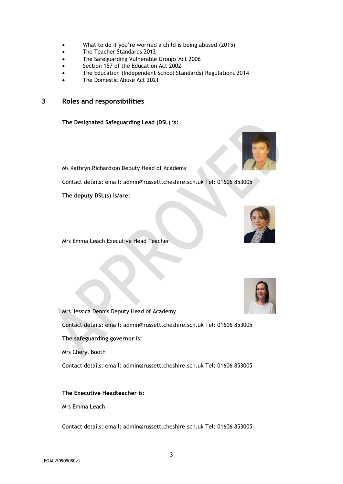- What to do if you're worried a child is being abused (2015)
- The Teacher Standards 2012
- The Safeguarding Vulnerable Groups Act 2006
- Section 157 of the Education Act 2002
- The Education (Independent School Standards) Regulations 2014
- The Domestic Abuse Act 2021

## **3 Roles and responsibilities**

**The Designated Safeguarding Lead (DSL) is:**



Ms Kathryn Richardson Deputy Head of Academy

Contact details: email: admin@russett.cheshire.sch.uk Tel: 01606 853005

**The deputy DSL(s) is/are:**



Mrs Emma Leach Executive Head Teacher



Mrs Jessica Dennis Deputy Head of Academy Contact details: email: admin@russett.cheshire.sch.uk Tel: 01606 853005 **The safeguarding governor is:** Mrs Cheryl Booth

Contact details: email: admin@russett.cheshire.sch.uk Tel: 01606 853005

#### **The Executive Headteacher is:**

Mrs Emma Leach

Contact details: email: admin@russett.cheshire.sch.uk Tel: 01606 853005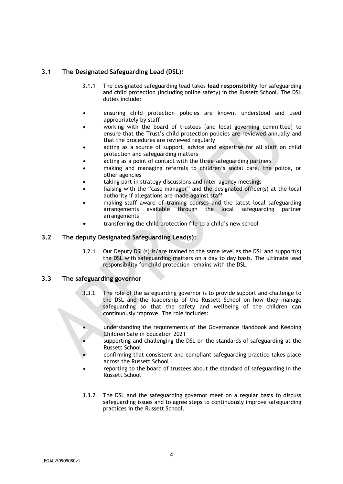## **3.1 The Designated Safeguarding Lead (DSL):**

- 3.1.1 The designated safeguarding lead takes **lead responsibility** for safeguarding and child protection (including online safety) in the Russett School. The DSL duties include:
- ensuring child protection policies are known, understood and used appropriately by staff
- working with the board of trustees [and local governing committee] to ensure that the Trust's child protection policies are reviewed annually and that the procedures are reviewed regularly
- acting as a source of support, advice and expertise for all staff on child protection and safeguarding matters
- acting as a point of contact with the three safeguarding partners
- making and managing referrals to children's social care, the police, or other agencies
- taking part in strategy discussions and inter-agency meetings
- liaising with the "case manager" and the designated officer(s) at the local authority if allegations are made against staff
- making staff aware of training courses and the latest local safeguarding arrangements available through the local safeguarding partner arrangements
- transferring the child protection file to a child's new school

## **3.2 The deputy Designated Safeguarding Lead(s):**

3.2.1 Our Deputy DSL(s) is/are trained to the same level as the DSL and support(s) the DSL with safeguarding matters on a day to day basis. The ultimate lead responsibility for child protection remains with the DSL.

## **3.3 The safeguarding governor**

- 3.3.1 The role of the safeguarding governor is to provide support and challenge to the DSL and the leadership of the Russett School on how they manage safeguarding so that the safety and wellbeing of the children can continuously improve. The role includes:
	- understanding the requirements of the Governance Handbook and Keeping Children Safe in Education 2021
	- supporting and challenging the DSL on the standards of safeguarding at the Russett School
- confirming that consistent and compliant safeguarding practice takes place across the Russett School
- reporting to the board of trustees about the standard of safeguarding in the Russett School
- 3.3.2 The DSL and the safeguarding governor meet on a regular basis to discuss safeguarding issues and to agree steps to continuously improve safeguarding practices in the Russett School.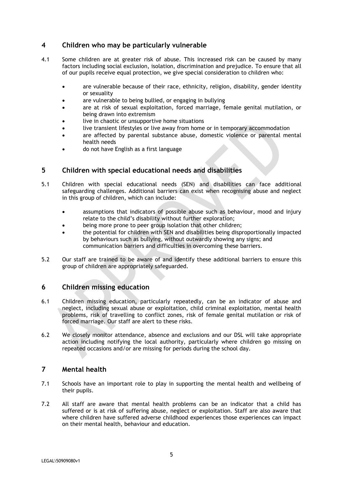## **4 Children who may be particularly vulnerable**

- 4.1 Some children are at greater risk of abuse. This increased risk can be caused by many factors including social exclusion, isolation, discrimination and prejudice. To ensure that all of our pupils receive equal protection, we give special consideration to children who:
	- are vulnerable because of their race, ethnicity, religion, disability, gender identity or sexuality
	- are vulnerable to being bullied, or engaging in bullying
	- are at risk of sexual exploitation, forced marriage, female genital mutilation, or being drawn into extremism
	- live in chaotic or unsupportive home situations
	- live transient lifestyles or live away from home or in temporary accommodation
	- are affected by parental substance abuse, domestic violence or parental mental health needs
	- do not have English as a first language

## **5 Children with special educational needs and disabilities**

- 5.1 Children with special educational needs (SEN) and disabilities can face additional safeguarding challenges. Additional barriers can exist when recognising abuse and neglect in this group of children, which can include:
	- assumptions that indicators of possible abuse such as behaviour, mood and injury relate to the child's disability without further exploration;
	- being more prone to peer group isolation that other children;
	- the potential for children with SEN and disabilities being disproportionally impacted by behaviours such as bullying, without outwardly showing any signs; and communication barriers and difficulties in overcoming these barriers.
- 5.2 Our staff are trained to be aware of and identify these additional barriers to ensure this group of children are appropriately safeguarded.

## **6 Children missing education**

- 6.1 Children missing education, particularly repeatedly, can be an indicator of abuse and neglect, including sexual abuse or exploitation, child criminal exploitation, mental health problems, risk of travelling to conflict zones, risk of female genital mutilation or risk of forced marriage. Our staff are alert to these risks.
- 6.2 We closely monitor attendance, absence and exclusions and our DSL will take appropriate action including notifying the local authority, particularly where children go missing on repeated occasions and/or are missing for periods during the school day.

## **7 Mental health**

- 7.1 Schools have an important role to play in supporting the mental health and wellbeing of their pupils.
- 7.2 All staff are aware that mental health problems can be an indicator that a child has suffered or is at risk of suffering abuse, neglect or exploitation. Staff are also aware that where children have suffered adverse childhood experiences those experiences can impact on their mental health, behaviour and education.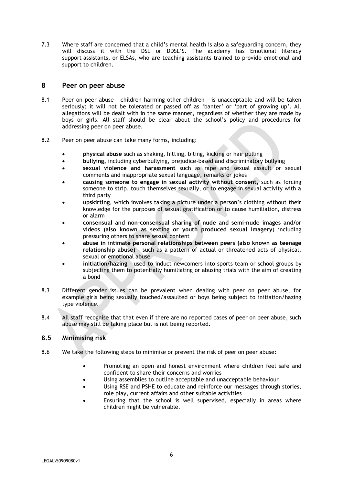7.3 Where staff are concerned that a child's mental health is also a safeguarding concern, they will discuss it with the DSL or DDSL'S. The academy has Emotional literacy support assistants, or ELSAs, who are teaching assistants trained to provide emotional and support to children.

## **8 Peer on peer abuse**

- 8.1 Peer on peer abuse children harming other children is unacceptable and will be taken seriously; it will not be tolerated or passed off as 'banter' or 'part of growing up'. All allegations will be dealt with in the same manner, regardless of whether they are made by boys or girls. All staff should be clear about the school's policy and procedures for addressing peer on peer abuse.
- 8.2 Peer on peer abuse can take many forms, including:
	- **physical abuse** such as shaking, hitting, biting, kicking or hair pulling
	- **bullying,** including cyberbullying, prejudice-based and discriminatory bullying
	- **sexual violence and harassment** such as rape and sexual assault or sexual comments and inappropriate sexual language, remarks or jokes
	- **causing someone to engage in sexual activity without consent,** such as forcing someone to strip, touch themselves sexually, or to engage in sexual activity with a third party
	- **upskirting**, which involves taking a picture under a person's clothing without their knowledge for the purposes of sexual gratification or to cause humiliation, distress or alarm
	- **consensual and non-consensual sharing of nude and semi-nude images and/or videos (also known as sexting or youth produced sexual imagery**) including pressuring others to share sexual content
	- **abuse in intimate personal relationships between peers (also known as teenage relationship abuse)** - such as a pattern of actual or threatened acts of physical, sexual or emotional abuse
	- **initiation/hazing** used to induct newcomers into sports team or school groups by subjecting them to potentially humiliating or abusing trials with the aim of creating a bond
- 8.3 Different gender issues can be prevalent when dealing with peer on peer abuse, for example girls being sexually touched/assaulted or boys being subject to initiation/hazing type violence.
- 8.4 All staff recognise that that even if there are no reported cases of peer on peer abuse, such abuse may still be taking place but is not being reported.

## **8.5 Minimising risk**

- 8.6 We take the following steps to minimise or prevent the risk of peer on peer abuse:
	- Promoting an open and honest environment where children feel safe and confident to share their concerns and worries
	- Using assemblies to outline acceptable and unacceptable behaviour
	- Using RSE and PSHE to educate and reinforce our messages through stories, role play, current affairs and other suitable activities
	- Ensuring that the school is well supervised, especially in areas where children might be vulnerable.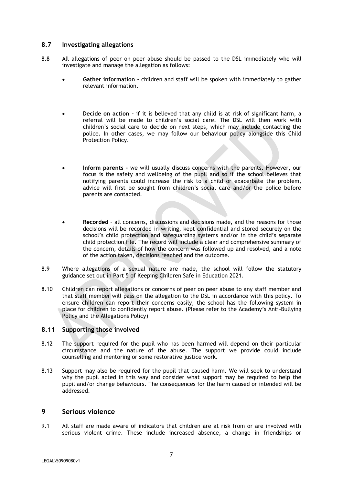## **8.7 Investigating allegations**

- 8.8 All allegations of peer on peer abuse should be passed to the DSL immediately who will investigate and manage the allegation as follows:
	- **Gather information -** children and staff will be spoken with immediately to gather relevant information.
	- **Decide on action -** if it is believed that any child is at risk of significant harm, a referral will be made to children's social care. The DSL will then work with children's social care to decide on next steps, which may include contacting the police. In other cases, we may follow our behaviour policy alongside this Child Protection Policy.
	- **Inform parents -** we will usually discuss concerns with the parents. However, our focus is the safety and wellbeing of the pupil and so if the school believes that notifying parents could increase the risk to a child or exacerbate the problem, advice will first be sought from children's social care and/or the police before parents are contacted.
	- **Recorded**  all concerns, discussions and decisions made, and the reasons for those decisions will be recorded in writing, kept confidential and stored securely on the school's child protection and safeguarding systems and/or in the child's separate child protection file. The record will include a clear and comprehensive summary of the concern, details of how the concern was followed up and resolved, and a note of the action taken, decisions reached and the outcome.
- 8.9 Where allegations of a sexual nature are made, the school will follow the statutory guidance set out in Part 5 of Keeping Children Safe in Education 2021.
- 8.10 Children can report allegations or concerns of peer on peer abuse to any staff member and that staff member will pass on the allegation to the DSL in accordance with this policy. To ensure children can report their concerns easily, the school has the following system in place for children to confidently report abuse. (Please refer to the Academy's Anti-Bullying Policy and the Allegations Policy)

## **8.11 Supporting those involved**

- 8.12 The support required for the pupil who has been harmed will depend on their particular circumstance and the nature of the abuse. The support we provide could include counselling and mentoring or some restorative justice work.
- 8.13 Support may also be required for the pupil that caused harm. We will seek to understand why the pupil acted in this way and consider what support may be required to help the pupil and/or change behaviours. The consequences for the harm caused or intended will be addressed.

#### **9 Serious violence**

9.1 All staff are made aware of indicators that children are at risk from or are involved with serious violent crime. These include increased absence, a change in friendships or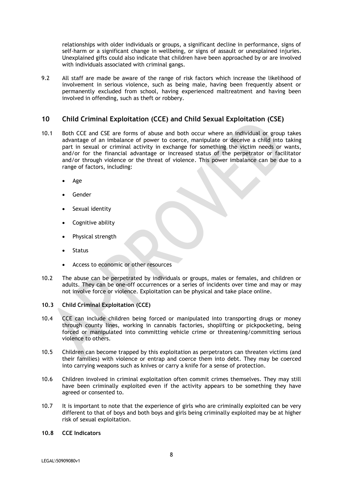relationships with older individuals or groups, a significant decline in performance, signs of self-harm or a significant change in wellbeing, or signs of assault or unexplained injuries. Unexplained gifts could also indicate that children have been approached by or are involved with individuals associated with criminal gangs.

9.2 All staff are made be aware of the range of risk factors which increase the likelihood of involvement in serious violence, such as being male, having been frequently absent or permanently excluded from school, having experienced maltreatment and having been involved in offending, such as theft or robbery.

## **10 Child Criminal Exploitation (CCE) and Child Sexual Exploitation (CSE)**

- 10.1 Both CCE and CSE are forms of abuse and both occur where an individual or group takes advantage of an imbalance of power to coerce, manipulate or deceive a child into taking part in sexual or criminal activity in exchange for something the victim needs or wants, and/or for the financial advantage or increased status of the perpetrator or facilitator and/or through violence or the threat of violence. This power imbalance can be due to a range of factors, including:
	- Age
	- Gender
	- Sexual identity
	- Cognitive ability
	- Physical strength
	- Status
	- Access to economic or other resources
- 10.2 The abuse can be perpetrated by individuals or groups, males or females, and children or adults. They can be one-off occurrences or a series of incidents over time and may or may not involve force or violence. Exploitation can be physical and take place online.
- **10.3 Child Criminal Exploitation (CCE)**
- 10.4 CCE can include children being forced or manipulated into transporting drugs or money through county lines, working in cannabis factories, shoplifting or pickpocketing, being forced or manipulated into committing vehicle crime or threatening/committing serious violence to others.
- 10.5 Children can become trapped by this exploitation as perpetrators can threaten victims (and their families) with violence or entrap and coerce them into debt. They may be coerced into carrying weapons such as knives or carry a knife for a sense of protection.
- 10.6 Children involved in criminal exploitation often commit crimes themselves. They may still have been criminally exploited even if the activity appears to be something they have agreed or consented to.
- 10.7 It is important to note that the experience of girls who are criminally exploited can be very different to that of boys and both boys and girls being criminally exploited may be at higher risk of sexual exploitation.
- **10.8 CCE Indicators**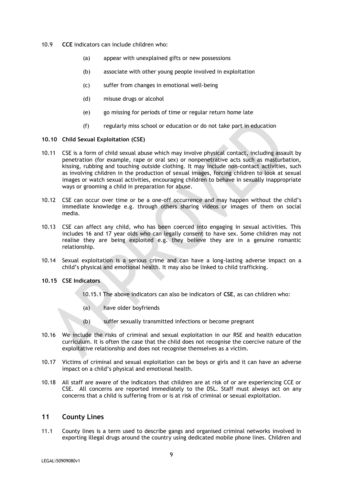- 10.9 **CCE** indicators can include children who:
	- (a) appear with unexplained gifts or new possessions
	- (b) associate with other young people involved in exploitation
	- (c) suffer from changes in emotional well-being
	- (d) misuse drugs or alcohol
	- (e) go missing for periods of time or regular return home late
	- (f) regularly miss school or education or do not take part in education

#### **10.10 Child Sexual Exploitation (CSE)**

- 10.11 CSE is a form of child sexual abuse which may involve physical contact, including assault by penetration (for example, rape or oral sex) or nonpenetrative acts such as masturbation, kissing, rubbing and touching outside clothing. It may include non-contact activities, such as involving children in the production of sexual images, forcing children to look at sexual images or watch sexual activities, encouraging children to behave in sexually inappropriate ways or grooming a child in preparation for abuse.
- 10.12 CSE can occur over time or be a one-off occurrence and may happen without the child's immediate knowledge e.g. through others sharing videos or images of them on social media.
- 10.13 CSE can affect any child, who has been coerced into engaging in sexual activities. This includes 16 and 17 year olds who can legally consent to have sex. Some children may not realise they are being exploited e.g. they believe they are in a genuine romantic relationship.
- 10.14 Sexual exploitation is a serious crime and can have a long-lasting adverse impact on a child's physical and emotional health. It may also be linked to child trafficking.

#### **10.15 CSE Indicators**

- 10.15.1 The above indicators can also be indicators of **CSE**, as can children who:
- (a) have older boyfriends
- (b) suffer sexually transmitted infections or become pregnant
- 10.16 We include the risks of criminal and sexual exploitation in our RSE and health education curriculum. It is often the case that the child does not recognise the coercive nature of the exploitative relationship and does not recognise themselves as a victim.
- 10.17 Victims of criminal and sexual exploitation can be boys or girls and it can have an adverse impact on a child's physical and emotional health.
- 10.18 All staff are aware of the indicators that children are at risk of or are experiencing CCE or CSE. All concerns are reported immediately to the DSL. Staff must always act on any concerns that a child is suffering from or is at risk of criminal or sexual exploitation.

## **11 County Lines**

11.1 County lines is a term used to describe gangs and organised criminal networks involved in exporting illegal drugs around the country using dedicated mobile phone lines. Children and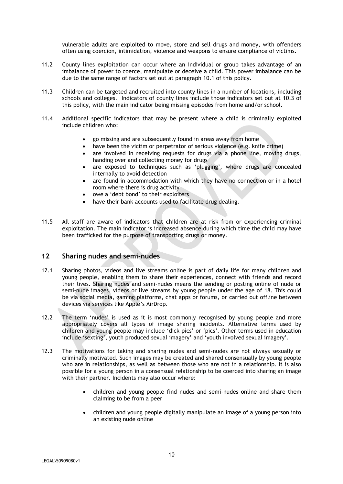vulnerable adults are exploited to move, store and sell drugs and money, with offenders often using coercion, intimidation, violence and weapons to ensure compliance of victims.

- 11.2 County lines exploitation can occur where an individual or group takes advantage of an imbalance of power to coerce, manipulate or deceive a child. This power imbalance can be due to the same range of factors set out at paragraph 10.1 of this policy.
- 11.3 Children can be targeted and recruited into county lines in a number of locations, including schools and colleges. Indicators of county lines include those indicators set out at 10.3 of this policy, with the main indicator being missing episodes from home and/or school.
- 11.4 Additional specific indicators that may be present where a child is criminally exploited include children who:
	- go missing and are subsequently found in areas away from home
	- have been the victim or perpetrator of serious violence (e.g. knife crime)
	- are involved in receiving requests for drugs via a phone line, moving drugs, handing over and collecting money for drugs
	- are exposed to techniques such as 'plugging', where drugs are concealed internally to avoid detection
	- are found in accommodation with which they have no connection or in a hotel room where there is drug activity
	- owe a 'debt bond' to their exploiters
	- have their bank accounts used to facilitate drug dealing.
- 11.5 All staff are aware of indicators that children are at risk from or experiencing criminal exploitation. The main indicator is increased absence during which time the child may have been trafficked for the purpose of transporting drugs or money.

#### **12 Sharing nudes and semi-nudes**

- 12.1 Sharing photos, videos and live streams online is part of daily life for many children and young people, enabling them to share their experiences, connect with friends and record their lives. Sharing nudes and semi-nudes means the sending or posting online of nude or semi-nude images, videos or live streams by young people under the age of 18. This could be via social media, gaming platforms, chat apps or forums, or carried out offline between devices via services like Apple's AirDrop.
- 12.2 The term 'nudes' is used as it is most commonly recognised by young people and more appropriately covers all types of image sharing incidents. Alternative terms used by children and young people may include 'dick pics' or 'pics'. Other terms used in education include 'sexting', youth produced sexual imagery' and 'youth involved sexual imagery'.
- 12.3 The motivations for taking and sharing nudes and semi-nudes are not always sexually or criminally motivated. Such images may be created and shared consensually by young people who are in relationships, as well as between those who are not in a relationship. It is also possible for a young person in a consensual relationship to be coerced into sharing an image with their partner. Incidents may also occur where:
	- children and young people find nudes and semi-nudes online and share them claiming to be from a peer
	- children and young people digitally manipulate an image of a young person into an existing nude online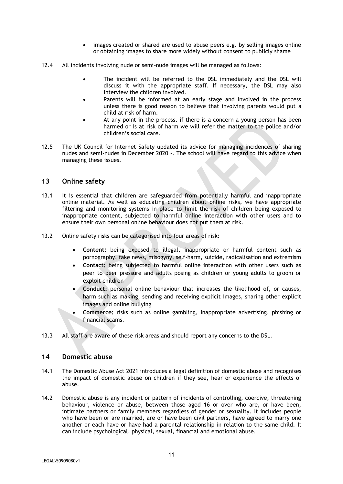- images created or shared are used to abuse peers e.g. by selling images online or obtaining images to share more widely without consent to publicly shame
- 12.4 All incidents involving nude or semi-nude images will be managed as follows:
	- The incident will be referred to the DSL immediately and the DSL will discuss it with the appropriate staff. If necessary, the DSL may also interview the children involved.
	- Parents will be informed at an early stage and involved in the process unless there is good reason to believe that involving parents would put a child at risk of harm.
	- At any point in the process, if there is a concern a young person has been harmed or is at risk of harm we will refer the matter to the police and/or children's social care.
- 12.5 The UK Council for Internet Safety updated its advice for managing incidences of sharing nudes and semi-nudes in December 2020 -. The school will have regard to this advice when managing these issues.

## **13 Online safety**

- 13.1 It is essential that children are safeguarded from potentially harmful and inappropriate online material. As well as educating children about online risks, we have appropriate filtering and monitoring systems in place to limit the risk of children being exposed to inappropriate content, subjected to harmful online interaction with other users and to ensure their own personal online behaviour does not put them at risk.
- 13.2 Online safety risks can be categorised into four areas of risk:
	- **Content:** being exposed to illegal, inappropriate or harmful content such as pornography, fake news, misogyny, self-harm, suicide, radicalisation and extremism
	- **Contact:** being subjected to harmful online interaction with other users such as peer to peer pressure and adults posing as children or young adults to groom or exploit children
	- **Conduct:** personal online behaviour that increases the likelihood of, or causes, harm such as making, sending and receiving explicit images, sharing other explicit images and online bullying
	- **Commerce:** risks such as online gambling, inappropriate advertising, phishing or financial scams.
- 13.3 All staff are aware of these risk areas and should report any concerns to the DSL.

#### **14 Domestic abuse**

- 14.1 The Domestic Abuse Act 2021 introduces a legal definition of domestic abuse and recognises the impact of domestic abuse on children if they see, hear or experience the effects of abuse.
- 14.2 Domestic abuse is any incident or pattern of incidents of controlling, coercive, threatening behaviour, violence or abuse, between those aged 16 or over who are, or have been, intimate partners or family members regardless of gender or sexuality. It includes people who have been or are married, are or have been civil partners, have agreed to marry one another or each have or have had a parental relationship in relation to the same child. It can include psychological, physical, sexual, financial and emotional abuse.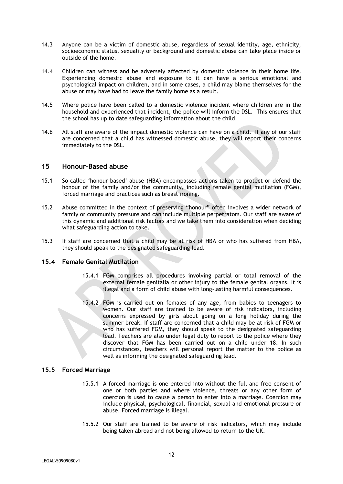- 14.3 Anyone can be a victim of domestic abuse, regardless of sexual identity, age, ethnicity, socioeconomic status, sexuality or background and domestic abuse can take place inside or outside of the home.
- 14.4 Children can witness and be adversely affected by domestic violence in their home life. Experiencing domestic abuse and exposure to it can have a serious emotional and psychological impact on children, and in some cases, a child may blame themselves for the abuse or may have had to leave the family home as a result.
- 14.5 Where police have been called to a domestic violence incident where children are in the household and experienced that incident, the police will inform the DSL. This ensures that the school has up to date safeguarding information about the child.
- 14.6 All staff are aware of the impact domestic violence can have on a child. If any of our staff are concerned that a child has witnessed domestic abuse, they will report their concerns immediately to the DSL.

#### **15 Honour-Based abuse**

- 15.1 So-called 'honour-based' abuse (HBA) encompasses actions taken to protect or defend the honour of the family and/or the community, including female genital mutilation (FGM), forced marriage and practices such as breast ironing.
- 15.2 Abuse committed in the context of preserving "honour" often involves a wider network of family or community pressure and can include multiple perpetrators. Our staff are aware of this dynamic and additional risk factors and we take them into consideration when deciding what safeguarding action to take.
- 15.3 If staff are concerned that a child may be at risk of HBA or who has suffered from HBA, they should speak to the designated safeguarding lead.

#### **15.4 Female Genital Mutilation**

- 15.4.1 FGM comprises all procedures involving partial or total removal of the external female genitalia or other injury to the female genital organs. It is illegal and a form of child abuse with long-lasting harmful consequences.
- 15.4.2 FGM is carried out on females of any age, from babies to teenagers to women. Our staff are trained to be aware of risk indicators, including concerns expressed by girls about going on a long holiday during the summer break. If staff are concerned that a child may be at risk of FGM or who has suffered FGM, they should speak to the designated safeguarding lead. Teachers are also under legal duty to report to the police where they discover that FGM has been carried out on a child under 18. In such circumstances, teachers will personal report the matter to the police as well as informing the designated safeguarding lead.

#### **15.5 Forced Marriage**

- 15.5.1 A forced marriage is one entered into without the full and free consent of one or both parties and where violence, threats or any other form of coercion is used to cause a person to enter into a marriage. Coercion may include physical, psychological, financial, sexual and emotional pressure or abuse. Forced marriage is illegal.
- 15.5.2 Our staff are trained to be aware of risk indicators, which may include being taken abroad and not being allowed to return to the UK.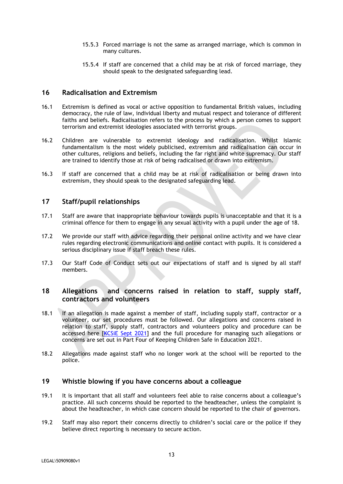- 15.5.3 Forced marriage is not the same as arranged marriage, which is common in many cultures.
- 15.5.4 If staff are concerned that a child may be at risk of forced marriage, they should speak to the designated safeguarding lead.

#### **16 Radicalisation and Extremism**

- 16.1 Extremism is defined as vocal or active opposition to fundamental British values, including democracy, the rule of law, individual liberty and mutual respect and tolerance of different faiths and beliefs. Radicalisation refers to the process by which a person comes to support terrorism and extremist ideologies associated with terrorist groups.
- 16.2 Children are vulnerable to extremist ideology and radicalisation. Whilst Islamic fundamentalism is the most widely publicised, extremism and radicalisation can occur in other cultures, religions and beliefs, including the far right and white supremacy. Our staff are trained to identify those at risk of being radicalised or drawn into extremism.
- 16.3 If staff are concerned that a child may be at risk of radicalisation or being drawn into extremism, they should speak to the designated safeguarding lead.

## **17 Staff/pupil relationships**

- 17.1 Staff are aware that inappropriate behaviour towards pupils is unacceptable and that it is a criminal offence for them to engage in any sexual activity with a pupil under the age of 18.
- 17.2 We provide our staff with advice regarding their personal online activity and we have clear rules regarding electronic communications and online contact with pupils. It is considered a serious disciplinary issue if staff breach these rules.
- 17.3 Our Staff Code of Conduct sets out our expectations of staff and is signed by all staff members.

## **18 Allegations and concerns raised in relation to staff, supply staff, contractors and volunteers**

- 18.1 If an allegation is made against a member of staff, including supply staff, contractor or a volunteer, our set procedures must be followed. Our allegations and concerns raised in relation to staff, supply staff, contractors and volunteers policy and procedure can be accessed here [\[KCSiE Sept 2021\]](https://assets.publishing.service.gov.uk/government/uploads/system/uploads/attachment_data/file/1014057/KCSIE_2021_September.pdf) and the full procedure for managing such allegations or concerns are set out in Part Four of Keeping Children Safe in Education 2021.
- 18.2 Allegations made against staff who no longer work at the school will be reported to the police.

#### **19 Whistle blowing if you have concerns about a colleague**

- 19.1 It is important that all staff and volunteers feel able to raise concerns about a colleague's practice. All such concerns should be reported to the headteacher, unless the complaint is about the headteacher, in which case concern should be reported to the chair of governors.
- 19.2 Staff may also report their concerns directly to children's social care or the police if they believe direct reporting is necessary to secure action.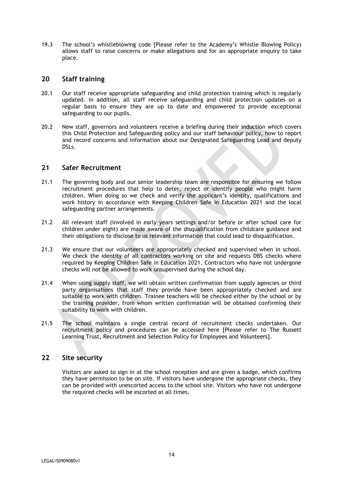19.3 The school's whistleblowing code [Please refer to the Academy's Whistle Blowing Policy) allows staff to raise concerns or make allegations and for an appropriate enquiry to take place.

## **20 Staff training**

- 20.1 Our staff receive appropriate safeguarding and child protection training which is regularly updated. In addition, all staff receive safeguarding and child protection updates on a regular basis to ensure they are up to date and empowered to provide exceptional safeguarding to our pupils.
- 20.2 New staff, governors and volunteers receive a briefing during their induction which covers this Child Protection and Safeguarding policy and our staff behaviour policy, how to report and record concerns and information about our Designated Safeguarding Lead and deputy DSLs.

## **21 Safer Recruitment**

- 21.1 The governing body and our senior leadership team are responsible for ensuring we follow recruitment procedures that help to deter, reject or identify people who might harm children. When doing so we check and verify the applicant's identity, qualifications and work history in accordance with Keeping Children Safe in Education 2021 and the local safeguarding partner arrangements.
- 21.2 All relevant staff (involved in early years settings and/or before or after school care for children under eight) are made aware of the disqualification from childcare guidance and their obligations to disclose to us relevant information that could lead to disqualification.
- 21.3 We ensure that our volunteers are appropriately checked and supervised when in school. We check the identity of all contractors working on site and requests DBS checks where required by Keeping Children Safe in Education 2021. Contractors who have not undergone checks will not be allowed to work unsupervised during the school day.
- 21.4 When using supply staff, we will obtain written confirmation from supply agencies or third party organisations that staff they provide have been appropriately checked and are suitable to work with children. Trainee teachers will be checked either by the school or by the training provider, from whom written confirmation will be obtained confirming their suitability to work with children.
- 21.5 The school maintains a single central record of recruitment checks undertaken. Our recruitment policy and procedures can be accessed here [Please refer to The Russett Learning Trust, Recruitment and Selection Policy for Employees and Volunteers].

## **22 Site security**

Visitors are asked to sign in at the school reception and are given a badge, which confirms they have permission to be on site. If visitors have undergone the appropriate checks, they can be provided with unescorted access to the school site. Visitors who have not undergone the required checks will be escorted at all times.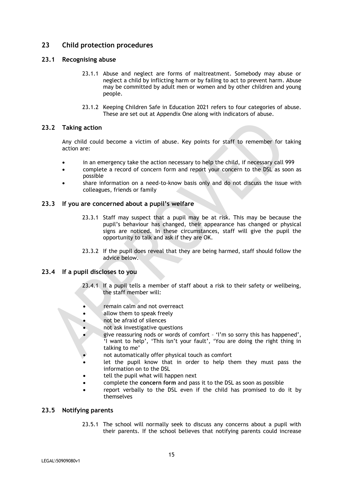## **23 Child protection procedures**

## **23.1 Recognising abuse**

- 23.1.1 Abuse and neglect are forms of maltreatment. Somebody may abuse or neglect a child by inflicting harm or by failing to act to prevent harm. Abuse may be committed by adult men or women and by other children and young people.
- 23.1.2 Keeping Children Safe in Education 2021 refers to four categories of abuse. These are set out at Appendix One along with indicators of abuse.

## **23.2 Taking action**

Any child could become a victim of abuse. Key points for staff to remember for taking action are:

- in an emergency take the action necessary to help the child, if necessary call 999
- complete a record of concern form and report your concern to the DSL as soon as possible
- share information on a need-to-know basis only and do not discuss the issue with colleagues, friends or family

#### **23.3 If you are concerned about a pupil's welfare**

- 23.3.1 Staff may suspect that a pupil may be at risk. This may be because the pupil's behaviour has changed, their appearance has changed or physical signs are noticed. In these circumstances, staff will give the pupil the opportunity to talk and ask if they are OK.
- 23.3.2 If the pupil does reveal that they are being harmed, staff should follow the advice below.

## **23.4 If a pupil discloses to you**

- 23.4.1 If a pupil tells a member of staff about a risk to their safety or wellbeing, the staff member will:
	- remain calm and not overreact
	- allow them to speak freely
- not be afraid of silences
- not ask investigative questions
- give reassuring nods or words of comfort 'I'm so sorry this has happened', 'I want to help', 'This isn't your fault', 'You are doing the right thing in talking to me'
- not automatically offer physical touch as comfort
- let the pupil know that in order to help them they must pass the information on to the DSL
- tell the pupil what will happen next
- complete the **concern form** and pass it to the DSL as soon as possible
- report verbally to the DSL even if the child has promised to do it by themselves

#### **23.5 Notifying parents**

23.5.1 The school will normally seek to discuss any concerns about a pupil with their parents. If the school believes that notifying parents could increase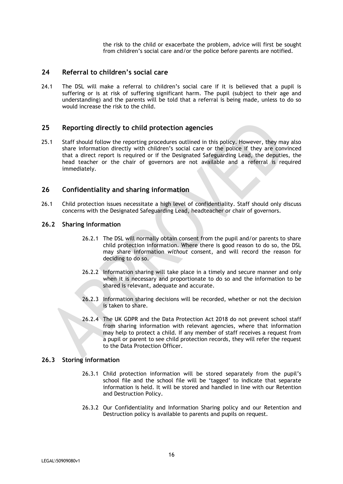the risk to the child or exacerbate the problem, advice will first be sought from children's social care and/or the police before parents are notified.

## **24 Referral to children's social care**

24.1 The DSL will make a referral to children's social care if it is believed that a pupil is suffering or is at risk of suffering significant harm. The pupil (subject to their age and understanding) and the parents will be told that a referral is being made, unless to do so would increase the risk to the child.

## **25 Reporting directly to child protection agencies**

25.1 Staff should follow the reporting procedures outlined in this policy. However, they may also share information directly with children's social care or the police if they are convinced that a direct report is required or if the Designated Safeguarding Lead, the deputies, the head teacher or the chair of governors are not available and a referral is required immediately.

## **26 Confidentiality and sharing information**

26.1 Child protection issues necessitate a high level of confidentiality. Staff should only discuss concerns with the Designated Safeguarding Lead, headteacher or chair of governors.

#### **26.2 Sharing information**

- 26.2.1 The DSL will normally obtain consent from the pupil and/or parents to share child protection information. Where there is good reason to do so, the DSL may share information *without* consent, and will record the reason for deciding to do so.
- 26.2.2 Information sharing will take place in a timely and secure manner and only when it is necessary and proportionate to do so and the information to be shared is relevant, adequate and accurate.
- 26.2.3 Information sharing decisions will be recorded, whether or not the decision is taken to share.
- 26.2.4 The UK GDPR and the Data Protection Act 2018 do not prevent school staff from sharing information with relevant agencies, where that information may help to protect a child. If any member of staff receives a request from a pupil or parent to see child protection records, they will refer the request to the Data Protection Officer.

#### **26.3 Storing information**

- 26.3.1 Child protection information will be stored separately from the pupil's school file and the school file will be 'tagged' to indicate that separate information is held. It will be stored and handled in line with our Retention and Destruction Policy.
- 26.3.2 Our Confidentiality and Information Sharing policy and our Retention and Destruction policy is available to parents and pupils on request.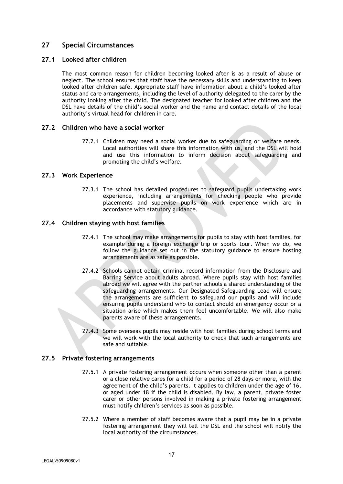## **27 Special Circumstances**

#### **27.1 Looked after children**

The most common reason for children becoming looked after is as a result of abuse or neglect. The school ensures that staff have the necessary skills and understanding to keep looked after children safe. Appropriate staff have information about a child's looked after status and care arrangements, including the level of authority delegated to the carer by the authority looking after the child. The designated teacher for looked after children and the DSL have details of the child's social worker and the name and contact details of the local authority's virtual head for children in care.

## **27.2 Children who have a social worker**

27.2.1 Children may need a social worker due to safeguarding or welfare needs. Local authorities will share this information with us, and the DSL will hold and use this information to inform decision about safeguarding and promoting the child's welfare.

## **27.3 Work Experience**

27.3.1 The school has detailed procedures to safeguard pupils undertaking work experience, including arrangements for checking people who provide placements and supervise pupils on work experience which are in accordance with statutory guidance.

## **27.4 Children staying with host families**

- 27.4.1 The school may make arrangements for pupils to stay with host families, for example during a foreign exchange trip or sports tour. When we do, we follow the guidance set out in the statutory guidance to ensure hosting arrangements are as safe as possible.
- 27.4.2 Schools cannot obtain criminal record information from the Disclosure and Barring Service about adults abroad. Where pupils stay with host families abroad we will agree with the partner schools a shared understanding of the safeguarding arrangements. Our Designated Safeguarding Lead will ensure the arrangements are sufficient to safeguard our pupils and will include ensuring pupils understand who to contact should an emergency occur or a situation arise which makes them feel uncomfortable. We will also make parents aware of these arrangements.
- 27.4.3 Some overseas pupils may reside with host families during school terms and we will work with the local authority to check that such arrangements are safe and suitable.

#### **27.5 Private fostering arrangements**

- 27.5.1 A private fostering arrangement occurs when someone other than a parent or a close relative cares for a child for a period of 28 days or more, with the agreement of the child's parents. It applies to children under the age of 16, or aged under 18 if the child is disabled. By law, a parent, private foster carer or other persons involved in making a private fostering arrangement must notify children's services as soon as possible.
- 27.5.2 Where a member of staff becomes aware that a pupil may be in a private fostering arrangement they will tell the DSL and the school will notify the local authority of the circumstances.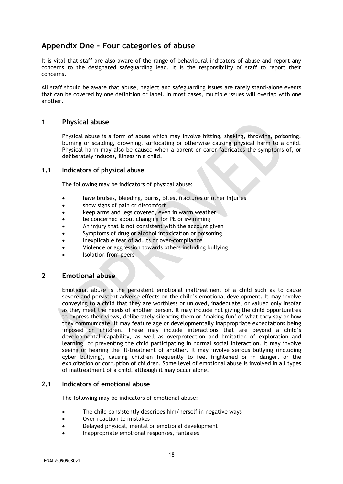## **Appendix One - Four categories of abuse**

It is vital that staff are also aware of the range of behavioural indicators of abuse and report any concerns to the designated safeguarding lead. It is the responsibility of staff to report their concerns.

All staff should be aware that abuse, neglect and safeguarding issues are rarely stand-alone events that can be covered by one definition or label. In most cases, multiple issues will overlap with one another.

## **1 Physical abuse**

Physical abuse is a form of abuse which may involve hitting, shaking, throwing, poisoning, burning or scalding, drowning, suffocating or otherwise causing physical harm to a child. Physical harm may also be caused when a parent or carer fabricates the symptoms of, or deliberately induces, illness in a child.

#### **1.1 Indicators of physical abuse**

The following may be indicators of physical abuse:

- have bruises, bleeding, burns, bites, fractures or other injuries
- show signs of pain or discomfort
- keep arms and legs covered, even in warm weather
- be concerned about changing for PE or swimming
- An injury that is not consistent with the account given
- Symptoms of drug or alcohol intoxication or poisoning
- Inexplicable fear of adults or over-compliance
- Violence or aggression towards others including bullying
- Isolation from peers

## **2 Emotional abuse**

Emotional abuse is the persistent emotional maltreatment of a child such as to cause severe and persistent adverse effects on the child's emotional development. It may involve conveying to a child that they are worthless or unloved, inadequate, or valued only insofar as they meet the needs of another person. It may include not giving the child opportunities to express their views, deliberately silencing them or 'making fun' of what they say or how they communicate. It may feature age or developmentally inappropriate expectations being imposed on children. These may include interactions that are beyond a child's developmental capability, as well as overprotection and limitation of exploration and learning, or preventing the child participating in normal social interaction. It may involve seeing or hearing the ill-treatment of another. It may involve serious bullying (including cyber bullying), causing children frequently to feel frightened or in danger, or the exploitation or corruption of children. Some level of emotional abuse is involved in all types of maltreatment of a child, although it may occur alone.

#### **2.1 Indicators of emotional abuse**

The following may be indicators of emotional abuse:

- The child consistently describes him/herself in negative ways
- Over-reaction to mistakes
- Delayed physical, mental or emotional development
- Inappropriate emotional responses, fantasies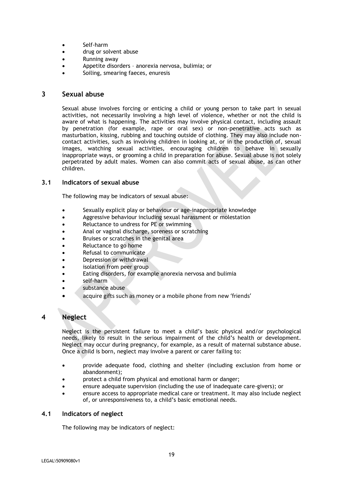- Self-harm
- drug or solvent abuse
- Running away
- Appetite disorders anorexia nervosa, bulimia; or
- Soiling, smearing faeces, enuresis

#### **3 Sexual abuse**

Sexual abuse involves forcing or enticing a child or young person to take part in sexual activities, not necessarily involving a high level of violence, whether or not the child is aware of what is happening. The activities may involve physical contact, including assault by penetration (for example, rape or oral sex) or non-penetrative acts such as masturbation, kissing, rubbing and touching outside of clothing. They may also include noncontact activities, such as involving children in looking at, or in the production of, sexual images, watching sexual activities, encouraging children to behave in sexually inappropriate ways, or grooming a child in preparation for abuse. Sexual abuse is not solely perpetrated by adult males. Women can also commit acts of sexual abuse, as can other children.

#### **3.1 Indicators of sexual abuse**

The following may be indicators of sexual abuse:

- Sexually explicit play or behaviour or age-inappropriate knowledge
- Aggressive behaviour including sexual harassment or molestation
- Reluctance to undress for PE or swimming
- Anal or vaginal discharge, soreness or scratching
- Bruises or scratches in the genital area
- Reluctance to go home
- Refusal to communicate
- Depression or withdrawal
- isolation from peer group
- Eating disorders, for example anorexia nervosa and bulimia
- self-harm
- substance abuse
- acquire gifts such as money or a mobile phone from new 'friends'

## **4 Neglect**

Neglect is the persistent failure to meet a child's basic physical and/or psychological needs, likely to result in the serious impairment of the child's health or development. Neglect may occur during pregnancy, for example, as a result of maternal substance abuse. Once a child is born, neglect may involve a parent or carer failing to:

- provide adequate food, clothing and shelter (including exclusion from home or abandonment);
- protect a child from physical and emotional harm or danger;
- ensure adequate supervision (including the use of inadequate care-givers); or
- ensure access to appropriate medical care or treatment. It may also include neglect of, or unresponsiveness to, a child's basic emotional needs.

#### **4.1 Indicators of neglect**

The following may be indicators of neglect: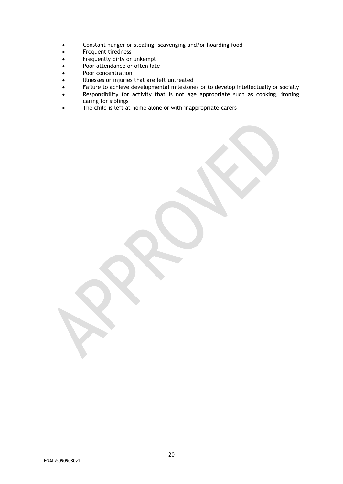- Constant hunger or stealing, scavenging and/or hoarding food
- Frequent tiredness
- Frequently dirty or unkempt
- Poor attendance or often late
- Poor concentration
- Illnesses or injuries that are left untreated
- Failure to achieve developmental milestones or to develop intellectually or socially
- Responsibility for activity that is not age appropriate such as cooking, ironing, caring for siblings
- The child is left at home alone or with inappropriate carers

LEGAL\50909080v1